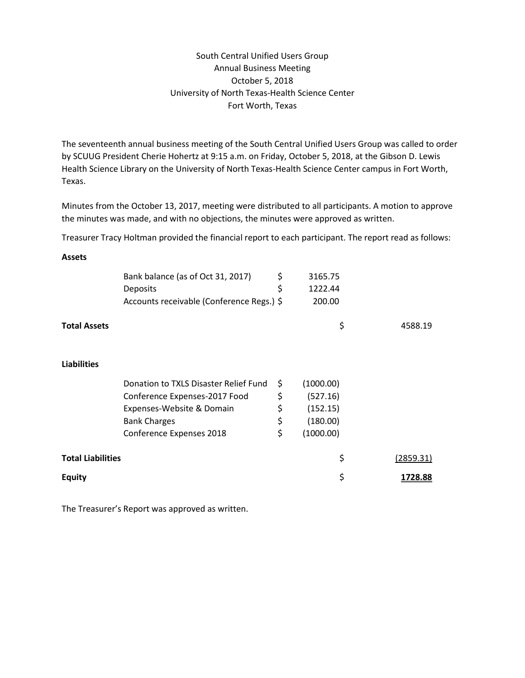## South Central Unified Users Group Annual Business Meeting October 5, 2018 University of North Texas-Health Science Center Fort Worth, Texas

The seventeenth annual business meeting of the South Central Unified Users Group was called to order by SCUUG President Cherie Hohertz at 9:15 a.m. on Friday, October 5, 2018, at the Gibson D. Lewis Health Science Library on the University of North Texas-Health Science Center campus in Fort Worth, Texas.

Minutes from the October 13, 2017, meeting were distributed to all participants. A motion to approve the minutes was made, and with no objections, the minutes were approved as written.

Treasurer Tracy Holtman provided the financial report to each participant. The report read as follows:

## **Assets**

|                          | Bank balance (as of Oct 31, 2017)         | \$<br>3165.75   |           |
|--------------------------|-------------------------------------------|-----------------|-----------|
|                          | Deposits                                  | \$<br>1222.44   |           |
|                          | Accounts receivable (Conference Regs.) \$ | 200.00          |           |
| <b>Total Assets</b>      |                                           | \$              | 4588.19   |
| <b>Liabilities</b>       |                                           |                 |           |
|                          | Donation to TXLS Disaster Relief Fund     | \$<br>(1000.00) |           |
|                          | Conference Expenses-2017 Food             | \$<br>(527.16)  |           |
|                          | Expenses-Website & Domain                 | \$<br>(152.15)  |           |
|                          | <b>Bank Charges</b>                       | \$<br>(180.00)  |           |
|                          | Conference Expenses 2018                  | \$<br>(1000.00) |           |
| <b>Total Liabilities</b> |                                           | \$              | (2859.31) |
| <b>Equity</b>            |                                           | \$              | 1728.88   |

The Treasurer's Report was approved as written.